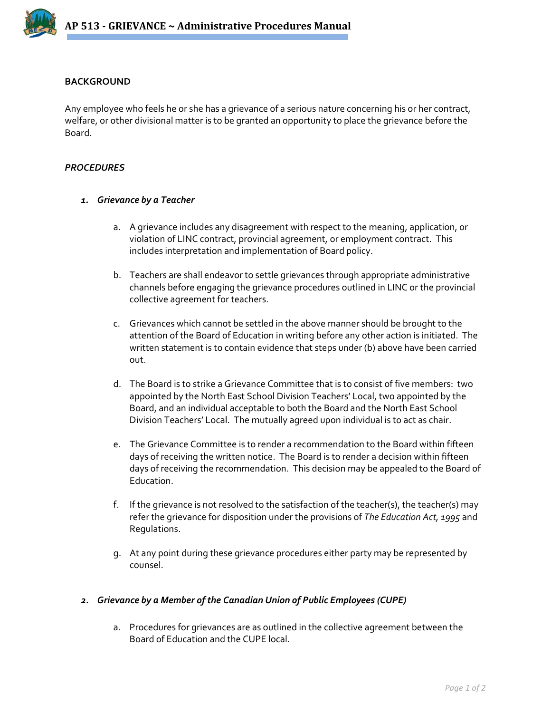

## **BACKGROUND**

Any employee who feels he or she has a grievance of a serious nature concerning his or her contract, welfare, or other divisional matter is to be granted an opportunity to place the grievance before the Board.

## *PROCEDURES*

## *1. Grievance by a Teacher*

- a. A grievance includes any disagreement with respect to the meaning, application, or violation of LINC contract, provincial agreement, or employment contract. This includes interpretation and implementation of Board policy.
- b. Teachers are shall endeavor to settle grievances through appropriate administrative channels before engaging the grievance procedures outlined in LINC or the provincial collective agreement for teachers.
- c. Grievances which cannot be settled in the above manner should be brought to the attention of the Board of Education in writing before any other action is initiated. The written statement is to contain evidence that steps under (b) above have been carried out.
- d. The Board is to strike a Grievance Committee that is to consist of five members: two appointed by the North East School Division Teachers' Local, two appointed by the Board, and an individual acceptable to both the Board and the North East School Division Teachers' Local. The mutually agreed upon individual is to act as chair.
- e. The Grievance Committee is to render a recommendation to the Board within fifteen days of receiving the written notice. The Board is to render a decision within fifteen days of receiving the recommendation. This decision may be appealed to the Board of Education.
- f. If the grievance is not resolved to the satisfaction of the teacher(s), the teacher(s) may refer the grievance for disposition under the provisions of *The Education Act, 1995* and Regulations.
- g. At any point during these grievance procedures either party may be represented by counsel.

## *2. Grievance by a Member of the Canadian Union of Public Employees (CUPE)*

a. Procedures for grievances are as outlined in the collective agreement between the Board of Education and the CUPE local.